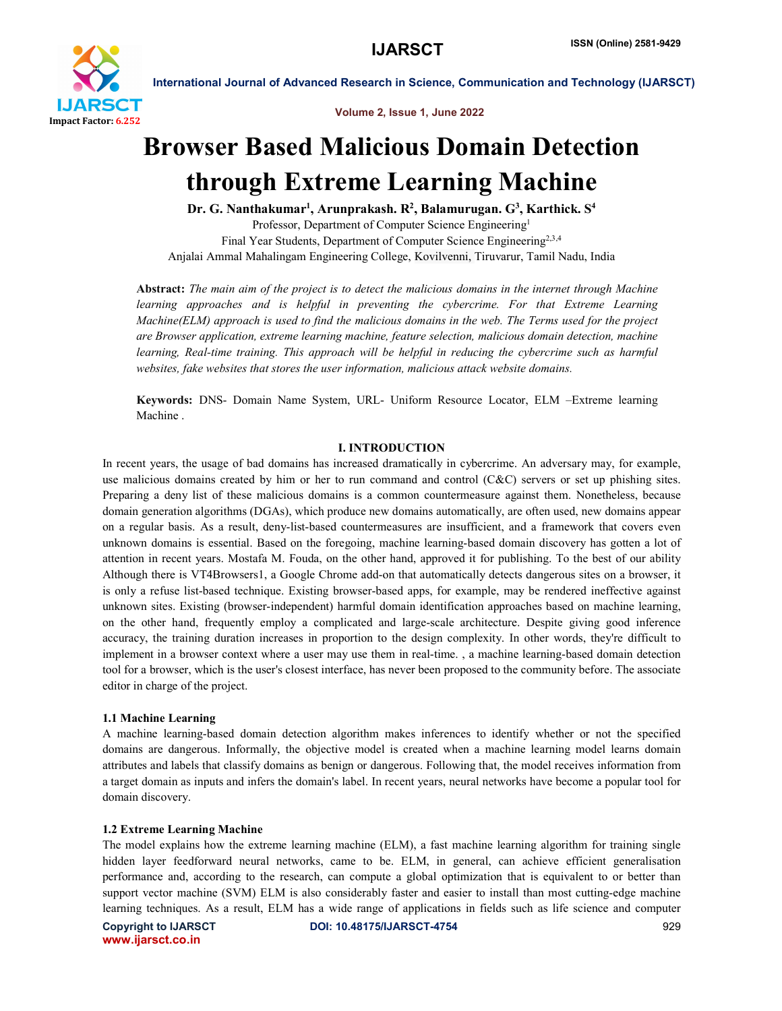

Volume 2, Issue 1, June 2022

# Browser Based Malicious Domain Detection through Extreme Learning Machine

Dr. G. Nanthakumar<sup>1</sup>, Arunprakash. R<sup>2</sup>, Balamurugan. G<sup>3</sup>, Karthick. S<sup>4</sup> Professor, Department of Computer Science Engineering1 Final Year Students, Department of Computer Science Engineering<sup>2,3,4</sup> Anjalai Ammal Mahalingam Engineering College, Kovilvenni, Tiruvarur, Tamil Nadu, India

Abstract: *The main aim of the project is to detect the malicious domains in the internet through Machine learning approaches and is helpful in preventing the cybercrime. For that Extreme Learning Machine(ELM) approach is used to find the malicious domains in the web. The Terms used for the project are Browser application, extreme learning machine, feature selection, malicious domain detection, machine learning, Real-time training. This approach will be helpful in reducing the cybercrime such as harmful websites, fake websites that stores the user information, malicious attack website domains.*

Keywords: DNS- Domain Name System, URL- Uniform Resource Locator, ELM –Extreme learning Machine .

# I. INTRODUCTION

In recent years, the usage of bad domains has increased dramatically in cybercrime. An adversary may, for example, use malicious domains created by him or her to run command and control  $(C&C)$  servers or set up phishing sites. Preparing a deny list of these malicious domains is a common countermeasure against them. Nonetheless, because domain generation algorithms (DGAs), which produce new domains automatically, are often used, new domains appear on a regular basis. As a result, deny-list-based countermeasures are insufficient, and a framework that covers even unknown domains is essential. Based on the foregoing, machine learning-based domain discovery has gotten a lot of attention in recent years. Mostafa M. Fouda, on the other hand, approved it for publishing. To the best of our ability Although there is VT4Browsers1, a Google Chrome add-on that automatically detects dangerous sites on a browser, it is only a refuse list-based technique. Existing browser-based apps, for example, may be rendered ineffective against unknown sites. Existing (browser-independent) harmful domain identification approaches based on machine learning, on the other hand, frequently employ a complicated and large-scale architecture. Despite giving good inference accuracy, the training duration increases in proportion to the design complexity. In other words, they're difficult to implement in a browser context where a user may use them in real-time. , a machine learning-based domain detection tool for a browser, which is the user's closest interface, has never been proposed to the community before. The associate editor in charge of the project.

# 1.1 Machine Learning

A machine learning-based domain detection algorithm makes inferences to identify whether or not the specified domains are dangerous. Informally, the objective model is created when a machine learning model learns domain attributes and labels that classify domains as benign or dangerous. Following that, the model receives information from a target domain as inputs and infers the domain's label. In recent years, neural networks have become a popular tool for domain discovery.

# 1.2 Extreme Learning Machine

The model explains how the extreme learning machine (ELM), a fast machine learning algorithm for training single hidden layer feedforward neural networks, came to be. ELM, in general, can achieve efficient generalisation performance and, according to the research, can compute a global optimization that is equivalent to or better than support vector machine (SVM) ELM is also considerably faster and easier to install than most cutting-edge machine learning techniques. As a result, ELM has a wide range of applications in fields such as life science and computer

www.ijarsct.co.in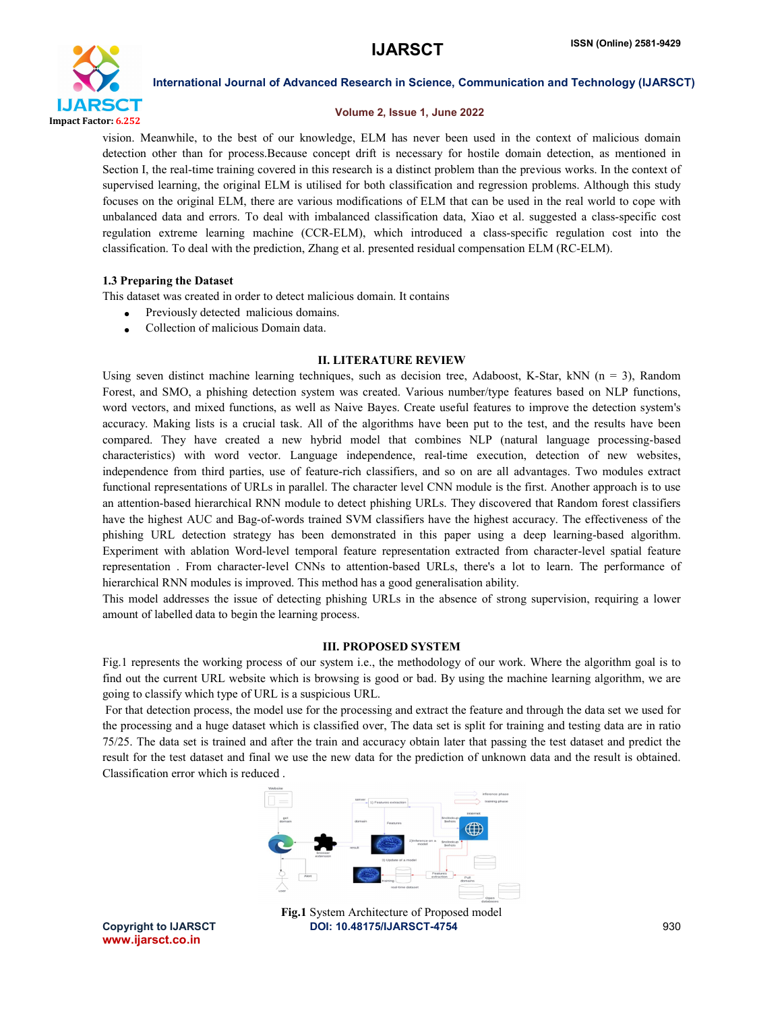

# Volume 2, Issue 1, June 2022

vision. Meanwhile, to the best of our knowledge, ELM has never been used in the context of malicious domain detection other than for process.Because concept drift is necessary for hostile domain detection, as mentioned in Section I, the real-time training covered in this research is a distinct problem than the previous works. In the context of supervised learning, the original ELM is utilised for both classification and regression problems. Although this study focuses on the original ELM, there are various modifications of ELM that can be used in the real world to cope with unbalanced data and errors. To deal with imbalanced classification data, Xiao et al. suggested a class-specific cost regulation extreme learning machine (CCR-ELM), which introduced a class-specific regulation cost into the classification. To deal with the prediction, Zhang et al. presented residual compensation ELM (RC-ELM).

# 1.3 Preparing the Dataset

This dataset was created in order to detect malicious domain. It contains

- Previously detected malicious domains.
- Collection of malicious Domain data.

# II. LITERATURE REVIEW

Using seven distinct machine learning techniques, such as decision tree, Adaboost, K-Star, kNN (n = 3), Random Forest, and SMO, a phishing detection system was created. Various number/type features based on NLP functions, word vectors, and mixed functions, as well as Naive Bayes. Create useful features to improve the detection system's accuracy. Making lists is a crucial task. All of the algorithms have been put to the test, and the results have been compared. They have created a new hybrid model that combines NLP (natural language processing-based characteristics) with word vector. Language independence, real-time execution, detection of new websites, independence from third parties, use of feature-rich classifiers, and so on are all advantages. Two modules extract functional representations of URLs in parallel. The character level CNN module is the first. Another approach is to use an attention-based hierarchical RNN module to detect phishing URLs. They discovered that Random forest classifiers have the highest AUC and Bag-of-words trained SVM classifiers have the highest accuracy. The effectiveness of the phishing URL detection strategy has been demonstrated in this paper using a deep learning-based algorithm. Experiment with ablation Word-level temporal feature representation extracted from character-level spatial feature representation . From character-level CNNs to attention-based URLs, there's a lot to learn. The performance of hierarchical RNN modules is improved. This method has a good generalisation ability.

This model addresses the issue of detecting phishing URLs in the absence of strong supervision, requiring a lower amount of labelled data to begin the learning process.

# III. PROPOSED SYSTEM

Fig.1 represents the working process of our system i.e., the methodology of our work. Where the algorithm goal is to find out the current URL website which is browsing is good or bad. By using the machine learning algorithm, we are going to classify which type of URL is a suspicious URL.

For that detection process, the model use for the processing and extract the feature and through the data set we used for the processing and a huge dataset which is classified over, The data set is split for training and testing data are in ratio 75/25. The data set is trained and after the train and accuracy obtain later that passing the test dataset and predict the result for the test dataset and final we use the new data for the prediction of unknown data and the result is obtained. Classification error which is reduced .



Fig.1 System Architecture of Proposed model

Copyright to IJARSCT **DOI: 10.48175/IJARSCT-4754** 930 www.ijarsct.co.in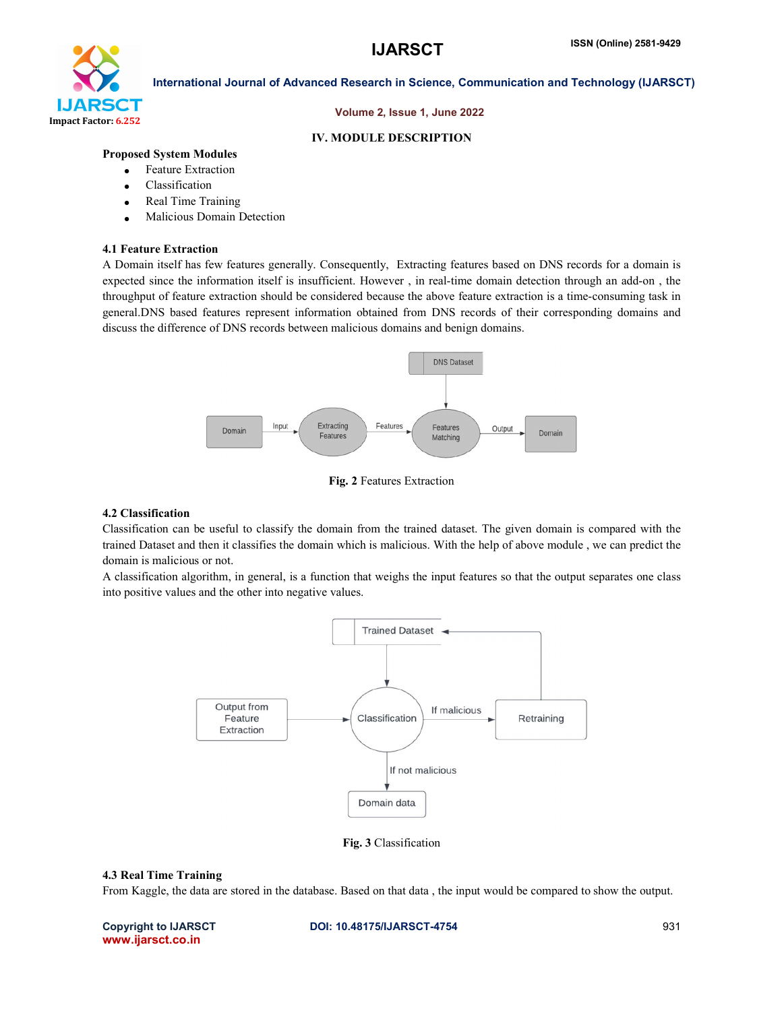

### Volume 2, Issue 1, June 2022

#### IV. MODULE DESCRIPTION

# Proposed System Modules

- Feature Extraction
- Classification
- Real Time Training
- Malicious Domain Detection

#### 4.1 Feature Extraction

A Domain itself has few features generally. Consequently, Extracting features based on DNS records for a domain is expected since the information itself is insufficient. However , in real-time domain detection through an add-on , the throughput of feature extraction should be considered because the above feature extraction is a time-consuming task in general.DNS based features represent information obtained from DNS records of their corresponding domains and discuss the difference of DNS records between malicious domains and benign domains.



Fig. 2 Features Extraction

# 4.2 Classification

Classification can be useful to classify the domain from the trained dataset. The given domain is compared with the trained Dataset and then it classifies the domain which is malicious. With the help of above module , we can predict the domain is malicious or not.

A classification algorithm, in general, is a function that weighs the input features so that the output separates one class into positive values and the other into negative values.



Fig. 3 Classification

#### 4.3 Real Time Training

From Kaggle, the data are stored in the database. Based on that data , the input would be compared to show the output.

www.ijarsct.co.in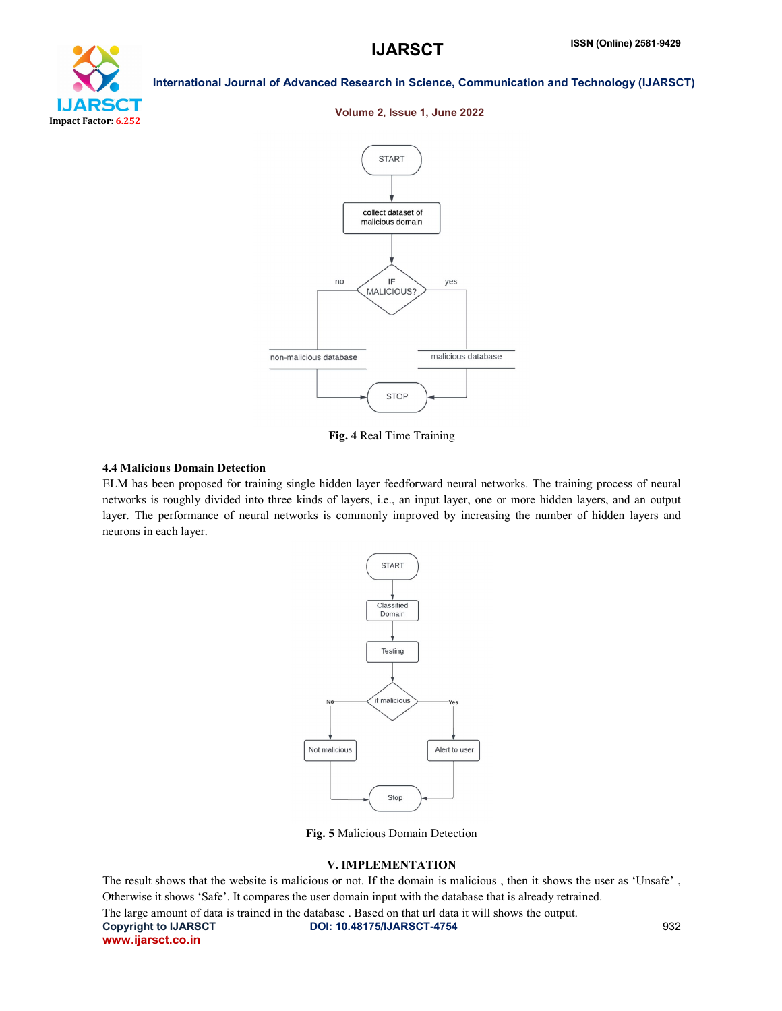

# Volume 2, Issue 1, June 2022

International Journal of Advanced Research in Science, Communication and Technology (IJARSCT)



Fig. 4 Real Time Training

### 4.4 Malicious Domain Detection

ELM has been proposed for training single hidden layer feedforward neural networks. The training process of neural networks is roughly divided into three kinds of layers, i.e., an input layer, one or more hidden layers, and an output layer. The performance of neural networks is commonly improved by increasing the number of hidden layers and neurons in each layer.



Fig. 5 Malicious Domain Detection

### V. IMPLEMENTATION

Copyright to IJARSCT **DOI: 10.48175/IJARSCT-4754** 932 www.ijarsct.co.in The result shows that the website is malicious or not. If the domain is malicious , then it shows the user as 'Unsafe' , Otherwise it shows 'Safe'. It compares the user domain input with the database that is already retrained. The large amount of data is trained in the database . Based on that url data it will shows the output.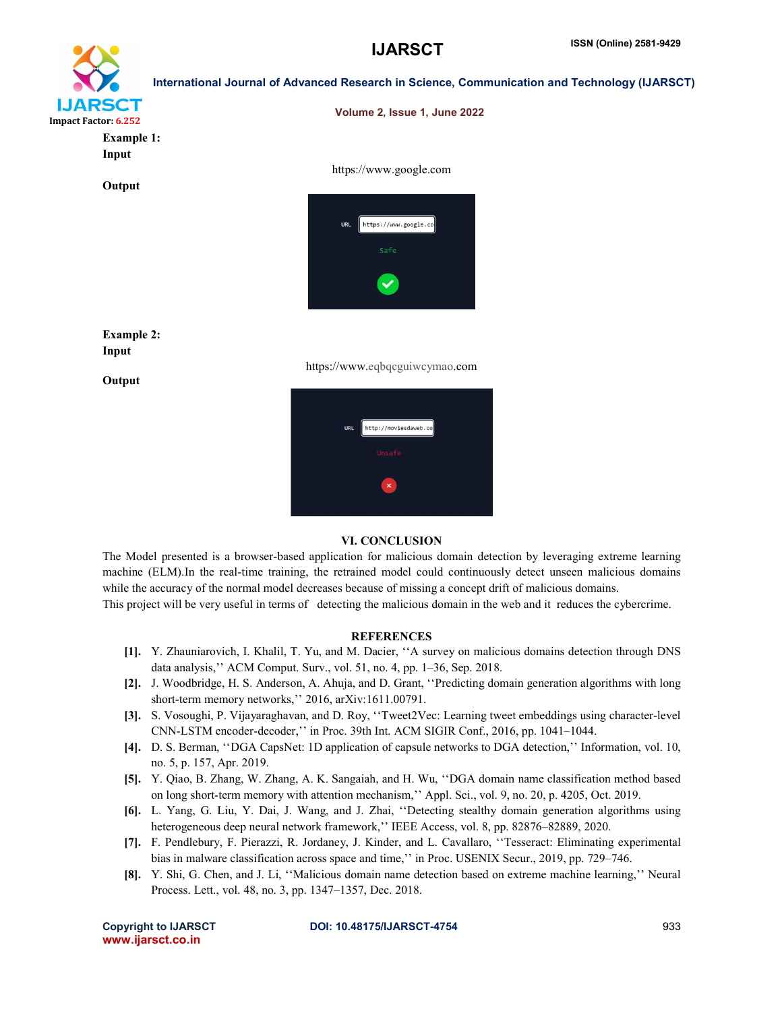

| <b>RSCT</b><br>252         | Volume 2, Issue 1, June 2022                                             |
|----------------------------|--------------------------------------------------------------------------|
| <b>Example 1:</b><br>Input |                                                                          |
| Output                     | https://www.google.com<br>https://www.google.co<br><b>URL</b><br>Safe    |
| <b>Example 2:</b><br>Input | $\blacktriangledown$                                                     |
| Output                     | https://www.eqbqcguiwcymao.com<br>http://moviesdaweb.co<br>URL<br>Unsafe |
|                            | $\mathbf{x}$                                                             |

### VI. CONCLUSION

The Model presented is a browser-based application for malicious domain detection by leveraging extreme learning machine (ELM).In the real-time training, the retrained model could continuously detect unseen malicious domains while the accuracy of the normal model decreases because of missing a concept drift of malicious domains.

This project will be very useful in terms of detecting the malicious domain in the web and it reduces the cybercrime.

# **REFERENCES**

- [1]. Y. Zhauniarovich, I. Khalil, T. Yu, and M. Dacier, ''A survey on malicious domains detection through DNS data analysis,'' ACM Comput. Surv., vol. 51, no. 4, pp. 1–36, Sep. 2018.
- [2]. J. Woodbridge, H. S. Anderson, A. Ahuja, and D. Grant, ''Predicting domain generation algorithms with long short-term memory networks,'' 2016, arXiv:1611.00791.
- [3]. S. Vosoughi, P. Vijayaraghavan, and D. Roy, ''Tweet2Vec: Learning tweet embeddings using character-level CNN-LSTM encoder-decoder,'' in Proc. 39th Int. ACM SIGIR Conf., 2016, pp. 1041–1044.
- [4]. D. S. Berman, ''DGA CapsNet: 1D application of capsule networks to DGA detection,'' Information, vol. 10, no. 5, p. 157, Apr. 2019.
- [5]. Y. Qiao, B. Zhang, W. Zhang, A. K. Sangaiah, and H. Wu, ''DGA domain name classification method based on long short-term memory with attention mechanism,'' Appl. Sci., vol. 9, no. 20, p. 4205, Oct. 2019.
- [6]. L. Yang, G. Liu, Y. Dai, J. Wang, and J. Zhai, ''Detecting stealthy domain generation algorithms using heterogeneous deep neural network framework,'' IEEE Access, vol. 8, pp. 82876–82889, 2020.
- [7]. F. Pendlebury, F. Pierazzi, R. Jordaney, J. Kinder, and L. Cavallaro, ''Tesseract: Eliminating experimental bias in malware classification across space and time,'' in Proc. USENIX Secur., 2019, pp. 729–746.
- [8]. Y. Shi, G. Chen, and J. Li, ''Malicious domain name detection based on extreme machine learning,'' Neural Process. Lett., vol. 48, no. 3, pp. 1347–1357, Dec. 2018.